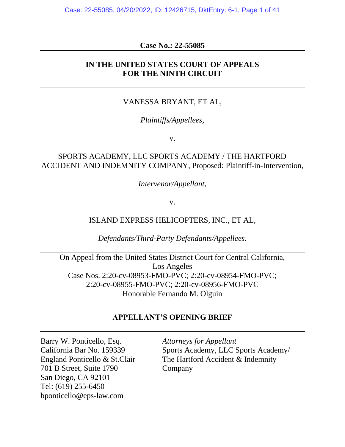Case: 22-55085, 04/20/2022, ID: 12426715, DktEntry: 6-1, Page 1 of 41

### **Case No.: 22-55085**

### **IN THE UNITED STATES COURT OF APPEALS FOR THE NINTH CIRCUIT**

### VANESSA BRYANT, ET AL,

### *Plaintiffs/Appellees,*

v.

### SPORTS ACADEMY, LLC SPORTS ACADEMY / THE HARTFORD ACCIDENT AND INDEMNITY COMPANY, Proposed: Plaintiff-in-Intervention,

*Intervenor/Appellant,*

v.

### ISLAND EXPRESS HELICOPTERS, INC., ET AL,

*Defendants/Third-Party Defendants/Appellees.*

On Appeal from the United States District Court for Central California, Los Angeles Case Nos. 2:20-cv-08953-FMO-PVC; 2:20-cv-08954-FMO-PVC; 2:20-cv-08955-FMO-PVC; 2:20-cv-08956-FMO-PVC Honorable Fernando M. Olguin

### **APPELLANT'S OPENING BRIEF**

Barry W. Ponticello, Esq. *Attorneys for Appellant* 701 B Street, Suite 1790 Company San Diego, CA 92101 Tel: (619) 255-6450 bponticello@eps-law.com

California Bar No. 159339 Sports Academy, LLC Sports Academy/ England Ponticello & St.Clair The Hartford Accident & Indemnity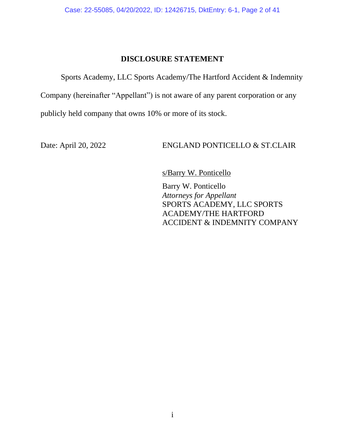### **DISCLOSURE STATEMENT**

Sports Academy, LLC Sports Academy/The Hartford Accident & Indemnity

Company (hereinafter "Appellant") is not aware of any parent corporation or any

publicly held company that owns 10% or more of its stock.

Date: April 20, 2022 ENGLAND PONTICELLO & ST.CLAIR

s/Barry W. Ponticello

Barry W. Ponticello *Attorneys for Appellant* SPORTS ACADEMY, LLC SPORTS ACADEMY/THE HARTFORD ACCIDENT & INDEMNITY COMPANY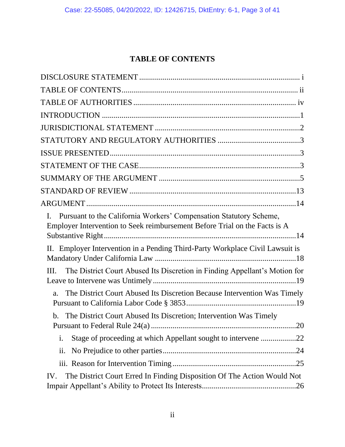## **TABLE OF CONTENTS**

| Pursuant to the California Workers' Compensation Statutory Scheme,<br>Ι.<br>Employer Intervention to Seek reimbursement Before Trial on the Facts is A |
|--------------------------------------------------------------------------------------------------------------------------------------------------------|
| II. Employer Intervention in a Pending Third-Party Workplace Civil Lawsuit is                                                                          |
| The District Court Abused Its Discretion in Finding Appellant's Motion for<br>III.                                                                     |
| The District Court Abused Its Discretion Because Intervention Was Timely<br>a.                                                                         |
| The District Court Abused Its Discretion; Intervention Was Timely<br>$\mathbf b$ .                                                                     |
| Stage of proceeding at which Appellant sought to intervene 22<br>i.                                                                                    |
| ii.                                                                                                                                                    |
|                                                                                                                                                        |
| The District Court Erred In Finding Disposition Of The Action Would Not<br>IV.                                                                         |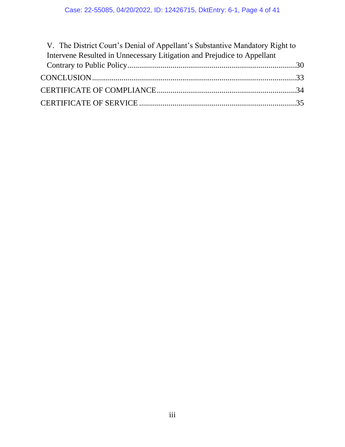| V. The District Court's Denial of Appellant's Substantive Mandatory Right to |  |
|------------------------------------------------------------------------------|--|
| Intervene Resulted in Unnecessary Litigation and Prejudice to Appellant      |  |
|                                                                              |  |
|                                                                              |  |
|                                                                              |  |
|                                                                              |  |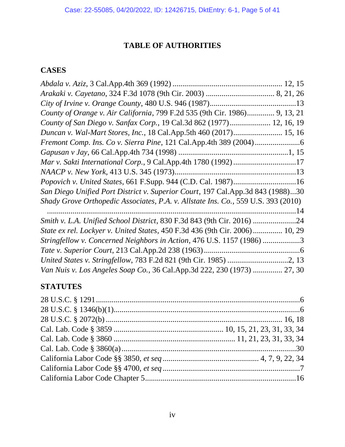## **TABLE OF AUTHORITIES**

## **CASES**

| County of Orange v. Air California, 799 F.2d 535 (9th Cir. 1986) 9, 13, 21        |  |
|-----------------------------------------------------------------------------------|--|
| County of San Diego v. Sanfax Corp., 19 Cal.3d 862 (1977) 12, 16, 19              |  |
| Duncan v. Wal-Mart Stores, Inc., 18 Cal.App.5th 460 (2017) 15, 16                 |  |
|                                                                                   |  |
|                                                                                   |  |
| Mar v. Sakti International Corp., 9 Cal.App.4th 1780 (1992) 17                    |  |
|                                                                                   |  |
| Popovich v. United States, 661 F.Supp. 944 (C.D. Cal. 1987)16                     |  |
| San Diego Unified Port District v. Superior Court, 197 Cal.App.3d 843 (1988)30    |  |
| Shady Grove Orthopedic Associates, P.A. v. Allstate Ins. Co., 559 U.S. 393 (2010) |  |
|                                                                                   |  |
| Smith v. L.A. Unified School District, 830 F.3d 843 (9th Cir. 2016) 24            |  |
| State ex rel. Lockyer v. United States, 450 F.3d 436 (9th Cir. 2006) 10, 29       |  |
| Stringfellow v. Concerned Neighbors in Action, 476 U.S. 1157 (1986) 3             |  |
|                                                                                   |  |
|                                                                                   |  |
| Van Nuis v. Los Angeles Soap Co., 36 Cal.App.3d 222, 230 (1973)  27, 30           |  |

## **STATUTES**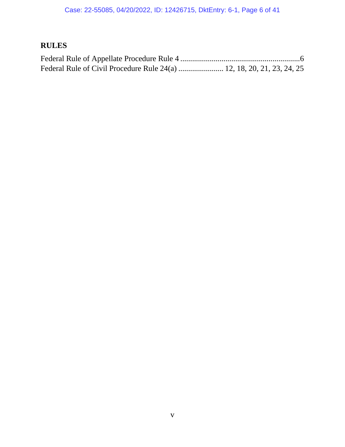# **RULES**

| Federal Rule of Civil Procedure Rule 24(a)  12, 18, 20, 21, 23, 24, 25 |  |  |  |
|------------------------------------------------------------------------|--|--|--|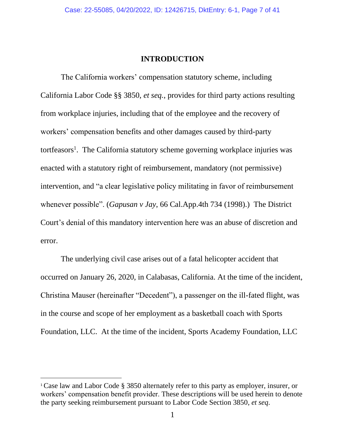#### **INTRODUCTION**

The California workers' compensation statutory scheme, including California Labor Code §§ 3850, *et seq.*, provides for third party actions resulting from workplace injuries, including that of the employee and the recovery of workers' compensation benefits and other damages caused by third-party tortfeasors<sup>1</sup>. The California statutory scheme governing workplace injuries was enacted with a statutory right of reimbursement, mandatory (not permissive) intervention, and "a clear legislative policy militating in favor of reimbursement whenever possible". (*Gapusan v Jay*, 66 Cal.App.4th 734 (1998).) The District Court's denial of this mandatory intervention here was an abuse of discretion and error.

The underlying civil case arises out of a fatal helicopter accident that occurred on January 26, 2020, in Calabasas, California. At the time of the incident, Christina Mauser (hereinafter "Decedent"), a passenger on the ill-fated flight, was in the course and scope of her employment as a basketball coach with Sports Foundation, LLC. At the time of the incident, Sports Academy Foundation, LLC

<sup>1</sup> Case law and Labor Code § 3850 alternately refer to this party as employer, insurer, or workers' compensation benefit provider. These descriptions will be used herein to denote the party seeking reimbursement pursuant to Labor Code Section 3850, *et seq*.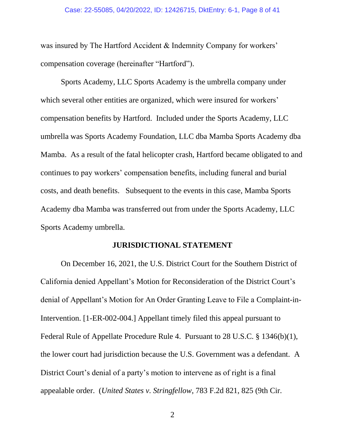#### Case: 22-55085, 04/20/2022, ID: 12426715, DktEntry: 6-1, Page 8 of 41

was insured by The Hartford Accident & Indemnity Company for workers' compensation coverage (hereinafter "Hartford").

Sports Academy, LLC Sports Academy is the umbrella company under which several other entities are organized, which were insured for workers' compensation benefits by Hartford. Included under the Sports Academy, LLC umbrella was Sports Academy Foundation, LLC dba Mamba Sports Academy dba Mamba. As a result of the fatal helicopter crash, Hartford became obligated to and continues to pay workers' compensation benefits, including funeral and burial costs, and death benefits. Subsequent to the events in this case, Mamba Sports Academy dba Mamba was transferred out from under the Sports Academy, LLC Sports Academy umbrella.

#### **JURISDICTIONAL STATEMENT**

On December 16, 2021, the U.S. District Court for the Southern District of California denied Appellant's Motion for Reconsideration of the District Court's denial of Appellant's Motion for An Order Granting Leave to File a Complaint-in-Intervention. [1-ER-002-004.] Appellant timely filed this appeal pursuant to Federal Rule of Appellate Procedure Rule 4. Pursuant to 28 U.S.C. § 1346(b)(1), the lower court had jurisdiction because the U.S. Government was a defendant. A District Court's denial of a party's motion to intervene as of right is a final appealable order. (*United States v. Stringfellow*, 783 F.2d 821, 825 (9th Cir.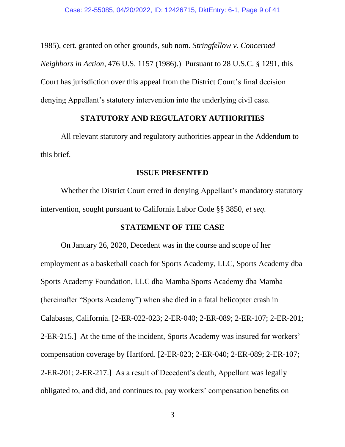1985), cert. granted on other grounds, sub nom. *Stringfellow v. Concerned Neighbors in Action*, 476 U.S. 1157 (1986).) Pursuant to 28 U.S.C. § 1291, this Court has jurisdiction over this appeal from the District Court's final decision denying Appellant's statutory intervention into the underlying civil case.

#### **STATUTORY AND REGULATORY AUTHORITIES**

All relevant statutory and regulatory authorities appear in the Addendum to this brief.

#### **ISSUE PRESENTED**

Whether the District Court erred in denying Appellant's mandatory statutory intervention, sought pursuant to California Labor Code §§ 3850, *et seq.*

#### **STATEMENT OF THE CASE**

On January 26, 2020, Decedent was in the course and scope of her employment as a basketball coach for Sports Academy, LLC, Sports Academy dba Sports Academy Foundation, LLC dba Mamba Sports Academy dba Mamba (hereinafter "Sports Academy") when she died in a fatal helicopter crash in Calabasas, California. [2-ER-022-023; 2-ER-040; 2-ER-089; 2-ER-107; 2-ER-201; 2-ER-215.] At the time of the incident, Sports Academy was insured for workers' compensation coverage by Hartford. [2-ER-023; 2-ER-040; 2-ER-089; 2-ER-107; 2-ER-201; 2-ER-217.] As a result of Decedent's death, Appellant was legally obligated to, and did, and continues to, pay workers' compensation benefits on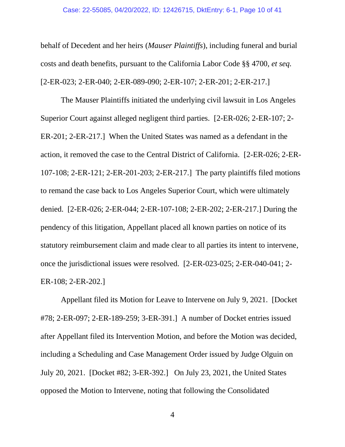#### Case: 22-55085, 04/20/2022, ID: 12426715, DktEntry: 6-1, Page 10 of 41

behalf of Decedent and her heirs (*Mauser Plaintiffs*), including funeral and burial costs and death benefits, pursuant to the California Labor Code §§ 4700, *et seq.* [2-ER-023; 2-ER-040; 2-ER-089-090; 2-ER-107; 2-ER-201; 2-ER-217.]

The Mauser Plaintiffs initiated the underlying civil lawsuit in Los Angeles Superior Court against alleged negligent third parties. [2-ER-026; 2-ER-107; 2- ER-201; 2-ER-217.] When the United States was named as a defendant in the action, it removed the case to the Central District of California. [2-ER-026; 2-ER-107-108; 2-ER-121; 2-ER-201-203; 2-ER-217.] The party plaintiffs filed motions to remand the case back to Los Angeles Superior Court, which were ultimately denied. [2-ER-026; 2-ER-044; 2-ER-107-108; 2-ER-202; 2-ER-217.] During the pendency of this litigation, Appellant placed all known parties on notice of its statutory reimbursement claim and made clear to all parties its intent to intervene, once the jurisdictional issues were resolved. [2-ER-023-025; 2-ER-040-041; 2- ER-108; 2-ER-202.]

Appellant filed its Motion for Leave to Intervene on July 9, 2021. [Docket #78; 2-ER-097; 2-ER-189-259; 3-ER-391.] A number of Docket entries issued after Appellant filed its Intervention Motion, and before the Motion was decided, including a Scheduling and Case Management Order issued by Judge Olguin on July 20, 2021. [Docket #82; 3-ER-392.] On July 23, 2021, the United States opposed the Motion to Intervene, noting that following the Consolidated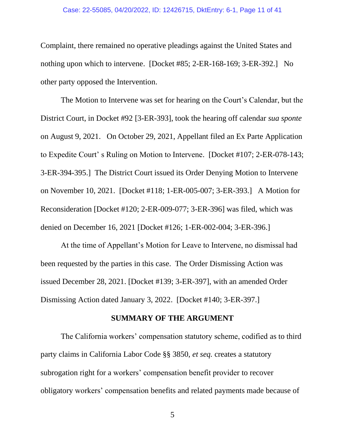#### Case: 22-55085, 04/20/2022, ID: 12426715, DktEntry: 6-1, Page 11 of 41

Complaint, there remained no operative pleadings against the United States and nothing upon which to intervene. [Docket #85; 2-ER-168-169; 3-ER-392.] No other party opposed the Intervention.

The Motion to Intervene was set for hearing on the Court's Calendar, but the District Court, in Docket #92 [3-ER-393], took the hearing off calendar *sua sponte* on August 9, 2021. On October 29, 2021, Appellant filed an Ex Parte Application to Expedite Court' s Ruling on Motion to Intervene. [Docket #107; 2-ER-078-143; 3-ER-394-395.] The District Court issued its Order Denying Motion to Intervene on November 10, 2021. [Docket #118; 1-ER-005-007; 3-ER-393.] A Motion for Reconsideration [Docket #120; 2-ER-009-077; 3-ER-396] was filed, which was denied on December 16, 2021 [Docket #126; 1-ER-002-004; 3-ER-396.]

At the time of Appellant's Motion for Leave to Intervene, no dismissal had been requested by the parties in this case. The Order Dismissing Action was issued December 28, 2021. [Docket #139; 3-ER-397], with an amended Order Dismissing Action dated January 3, 2022. [Docket #140; 3-ER-397.]

#### **SUMMARY OF THE ARGUMENT**

The California workers' compensation statutory scheme, codified as to third party claims in California Labor Code §§ 3850, *et seq.* creates a statutory subrogation right for a workers' compensation benefit provider to recover obligatory workers' compensation benefits and related payments made because of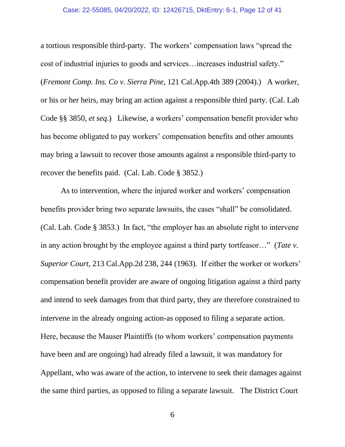#### Case: 22-55085, 04/20/2022, ID: 12426715, DktEntry: 6-1, Page 12 of 41

a tortious responsible third-party. The workers' compensation laws "spread the cost of industrial injuries to goods and services…increases industrial safety." (*Fremont Comp. Ins. Co v. Sierra Pine*, 121 Cal.App.4th 389 (2004).) A worker, or his or her heirs, may bring an action against a responsible third party. (Cal. Lab Code §§ 3850, *et seq.*) Likewise, a workers' compensation benefit provider who has become obligated to pay workers' compensation benefits and other amounts may bring a lawsuit to recover those amounts against a responsible third-party to recover the benefits paid. (Cal. Lab. Code § 3852.)

As to intervention, where the injured worker and workers' compensation benefits provider bring two separate lawsuits, the cases "shall" be consolidated. (Cal. Lab. Code § 3853.) In fact, "the employer has an absolute right to intervene in any action brought by the employee against a third party tortfeasor…" (*Tate v. Superior Court*, 213 Cal.App.2d 238, 244 (1963)*.* If either the worker or workers' compensation benefit provider are aware of ongoing litigation against a third party and intend to seek damages from that third party, they are therefore constrained to intervene in the already ongoing action-as opposed to filing a separate action. Here, because the Mauser Plaintiffs (to whom workers' compensation payments have been and are ongoing) had already filed a lawsuit, it was mandatory for Appellant, who was aware of the action, to intervene to seek their damages against the same third parties, as opposed to filing a separate lawsuit. The District Court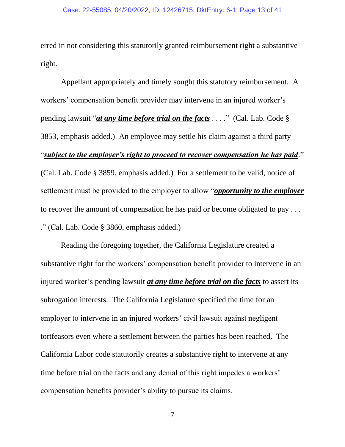erred in not considering this statutorily granted reimbursement right a substantive right.

Appellant appropriately and timely sought this statutory reimbursement. A workers' compensation benefit provider may intervene in an injured worker's pending lawsuit "*at any time before trial on the facts* . . . ." (Cal. Lab. Code § 3853, emphasis added.) An employee may settle his claim against a third party "*subject to the employer's right to proceed to recover compensation he has paid*." (Cal. Lab. Code § 3859, emphasis added.) For a settlement to be valid, notice of settlement must be provided to the employer to allow "*opportunity to the employer* to recover the amount of compensation he has paid or become obligated to pay . . . ." (Cal. Lab. Code § 3860, emphasis added.)

Reading the foregoing together, the California Legislature created a substantive right for the workers' compensation benefit provider to intervene in an injured worker's pending lawsuit *at any time before trial on the facts* to assert its subrogation interests. The California Legislature specified the time for an employer to intervene in an injured workers' civil lawsuit against negligent tortfeasors even where a settlement between the parties has been reached. The California Labor code statutorily creates a substantive right to intervene at any time before trial on the facts and any denial of this right impedes a workers' compensation benefits provider's ability to pursue its claims.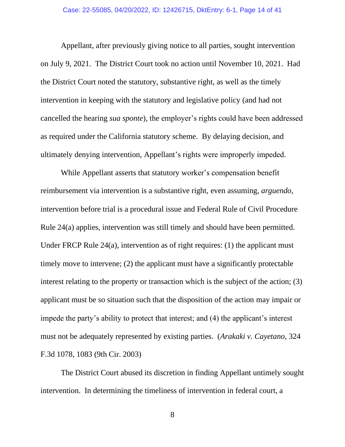Appellant, after previously giving notice to all parties, sought intervention on July 9, 2021. The District Court took no action until November 10, 2021. Had the District Court noted the statutory, substantive right, as well as the timely intervention in keeping with the statutory and legislative policy (and had not cancelled the hearing *sua sponte*), the employer's rights could have been addressed as required under the California statutory scheme. By delaying decision, and ultimately denying intervention, Appellant's rights were improperly impeded.

While Appellant asserts that statutory worker's compensation benefit reimbursement via intervention is a substantive right, even assuming, *arguendo*, intervention before trial is a procedural issue and Federal Rule of Civil Procedure Rule 24(a) applies, intervention was still timely and should have been permitted. Under FRCP Rule 24(a), intervention as of right requires: (1) the applicant must timely move to intervene; (2) the applicant must have a significantly protectable interest relating to the property or transaction which is the subject of the action; (3) applicant must be so situation such that the disposition of the action may impair or impede the party's ability to protect that interest; and (4) the applicant's interest must not be adequately represented by existing parties. (*Arakaki v. Cayetano*, 324 F.3d 1078, 1083 (9th Cir. 2003)

The District Court abused its discretion in finding Appellant untimely sought intervention. In determining the timeliness of intervention in federal court, a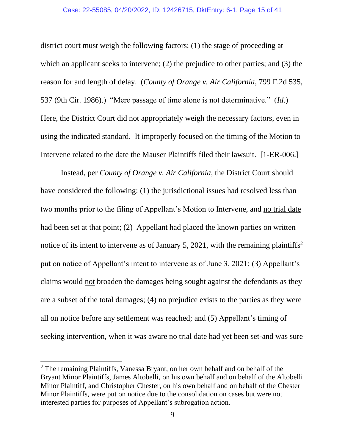#### Case: 22-55085, 04/20/2022, ID: 12426715, DktEntry: 6-1, Page 15 of 41

district court must weigh the following factors: (1) the stage of proceeding at which an applicant seeks to intervene; (2) the prejudice to other parties; and (3) the reason for and length of delay. (*County of Orange v. Air California*, 799 F.2d 535, 537 (9th Cir. 1986).) "Mere passage of time alone is not determinative." (*Id.*) Here, the District Court did not appropriately weigh the necessary factors, even in using the indicated standard. It improperly focused on the timing of the Motion to Intervene related to the date the Mauser Plaintiffs filed their lawsuit. [1-ER-006.]

Instead, per *County of Orange v. Air California*, the District Court should have considered the following: (1) the jurisdictional issues had resolved less than two months prior to the filing of Appellant's Motion to Intervene, and no trial date had been set at that point; (2) Appellant had placed the known parties on written notice of its intent to intervene as of January 5, 2021, with the remaining plaintiffs<sup>2</sup> put on notice of Appellant's intent to intervene as of June 3, 2021; (3) Appellant's claims would not broaden the damages being sought against the defendants as they are a subset of the total damages; (4) no prejudice exists to the parties as they were all on notice before any settlement was reached; and (5) Appellant's timing of seeking intervention, when it was aware no trial date had yet been set-and was sure

<sup>&</sup>lt;sup>2</sup> The remaining Plaintiffs, Vanessa Bryant, on her own behalf and on behalf of the Bryant Minor Plaintiffs, James Altobelli, on his own behalf and on behalf of the Altobelli Minor Plaintiff, and Christopher Chester, on his own behalf and on behalf of the Chester Minor Plaintiffs, were put on notice due to the consolidation on cases but were not interested parties for purposes of Appellant's subrogation action.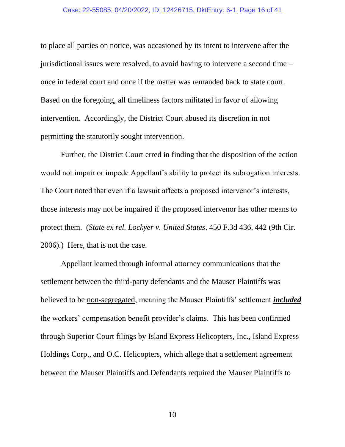#### Case: 22-55085, 04/20/2022, ID: 12426715, DktEntry: 6-1, Page 16 of 41

to place all parties on notice, was occasioned by its intent to intervene after the jurisdictional issues were resolved, to avoid having to intervene a second time – once in federal court and once if the matter was remanded back to state court. Based on the foregoing, all timeliness factors militated in favor of allowing intervention. Accordingly, the District Court abused its discretion in not permitting the statutorily sought intervention.

Further, the District Court erred in finding that the disposition of the action would not impair or impede Appellant's ability to protect its subrogation interests. The Court noted that even if a lawsuit affects a proposed intervenor's interests, those interests may not be impaired if the proposed intervenor has other means to protect them. (*State ex rel. Lockyer v. United States*, 450 F.3d 436, 442 (9th Cir. 2006).) Here, that is not the case.

Appellant learned through informal attorney communications that the settlement between the third-party defendants and the Mauser Plaintiffs was believed to be non-segregated, meaning the Mauser Plaintiffs' settlement *included* the workers' compensation benefit provider's claims. This has been confirmed through Superior Court filings by Island Express Helicopters, Inc., Island Express Holdings Corp., and O.C. Helicopters, which allege that a settlement agreement between the Mauser Plaintiffs and Defendants required the Mauser Plaintiffs to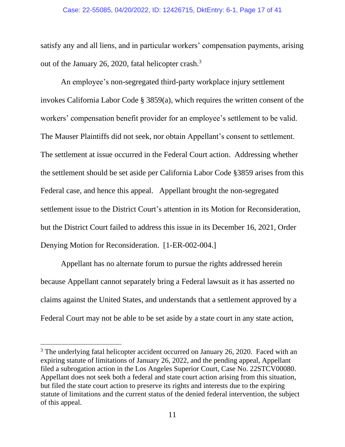#### Case: 22-55085, 04/20/2022, ID: 12426715, DktEntry: 6-1, Page 17 of 41

satisfy any and all liens, and in particular workers' compensation payments, arising out of the January 26, 2020, fatal helicopter crash.<sup>3</sup>

An employee's non-segregated third-party workplace injury settlement invokes California Labor Code § 3859(a), which requires the written consent of the workers' compensation benefit provider for an employee's settlement to be valid. The Mauser Plaintiffs did not seek, nor obtain Appellant's consent to settlement. The settlement at issue occurred in the Federal Court action. Addressing whether the settlement should be set aside per California Labor Code §3859 arises from this Federal case, and hence this appeal. Appellant brought the non-segregated settlement issue to the District Court's attention in its Motion for Reconsideration, but the District Court failed to address this issue in its December 16, 2021, Order Denying Motion for Reconsideration. [1-ER-002-004.]

Appellant has no alternate forum to pursue the rights addressed herein because Appellant cannot separately bring a Federal lawsuit as it has asserted no claims against the United States, and understands that a settlement approved by a Federal Court may not be able to be set aside by a state court in any state action,

<sup>&</sup>lt;sup>3</sup> The underlying fatal helicopter accident occurred on January 26, 2020. Faced with an expiring statute of limitations of January 26, 2022, and the pending appeal, Appellant filed a subrogation action in the Los Angeles Superior Court, Case No. 22STCV00080. Appellant does not seek both a federal and state court action arising from this situation, but filed the state court action to preserve its rights and interests due to the expiring statute of limitations and the current status of the denied federal intervention, the subject of this appeal.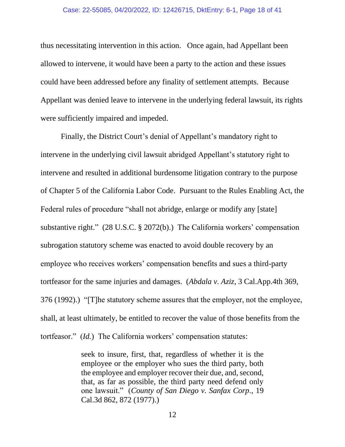#### Case: 22-55085, 04/20/2022, ID: 12426715, DktEntry: 6-1, Page 18 of 41

thus necessitating intervention in this action. Once again, had Appellant been allowed to intervene, it would have been a party to the action and these issues could have been addressed before any finality of settlement attempts. Because Appellant was denied leave to intervene in the underlying federal lawsuit, its rights were sufficiently impaired and impeded.

Finally, the District Court's denial of Appellant's mandatory right to intervene in the underlying civil lawsuit abridged Appellant's statutory right to intervene and resulted in additional burdensome litigation contrary to the purpose of Chapter 5 of the California Labor Code. Pursuant to the Rules Enabling Act, the Federal rules of procedure "shall not abridge, enlarge or modify any [state] substantive right." (28 U.S.C. § 2072(b).) The California workers' compensation subrogation statutory scheme was enacted to avoid double recovery by an employee who receives workers' compensation benefits and sues a third-party tortfeasor for the same injuries and damages. (*Abdala v. Aziz*, 3 Cal.App.4th 369, 376 (1992).) "[T]he statutory scheme assures that the employer, not the employee, shall, at least ultimately, be entitled to recover the value of those benefits from the tortfeasor." (*Id.*) The California workers' compensation statutes:

> seek to insure, first, that, regardless of whether it is the employee or the employer who sues the third party, both the employee and employer recover their due, and, second, that, as far as possible, the third party need defend only one lawsuit." (*County of San Diego v. Sanfax Corp.*, 19 Cal.3d 862, 872 (1977).)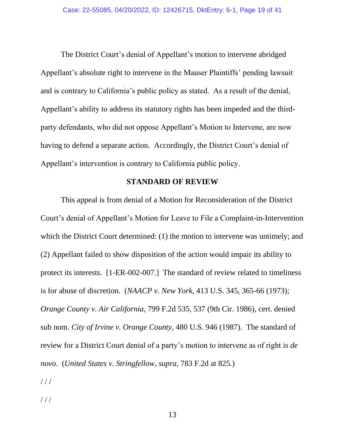The District Court's denial of Appellant's motion to intervene abridged Appellant's absolute right to intervene in the Mauser Plaintiffs' pending lawsuit and is contrary to California's public policy as stated. As a result of the denial, Appellant's ability to address its statutory rights has been impeded and the thirdparty defendants, who did not oppose Appellant's Motion to Intervene, are now having to defend a separate action. Accordingly, the District Court's denial of Appellant's intervention is contrary to California public policy.

#### **STANDARD OF REVIEW**

This appeal is from denial of a Motion for Reconsideration of the District Court's denial of Appellant's Motion for Leave to File a Complaint-in-Intervention which the District Court determined: (1) the motion to intervene was untimely; and (2) Appellant failed to show disposition of the action would impair its ability to protect its interests. [1-ER-002-007.] The standard of review related to timeliness is for abuse of discretion. (*NAACP v. New York*, 413 U.S. 345, 365-66 (1973); *Orange County v. Air California*, 799 F.2d 535, 537 (9th Cir. 1986), cert. denied sub nom. *City of Irvine v. Orange County*, 480 U.S. 946 (1987). The standard of review for a District Court denial of a party's motion to intervene as of right is *de novo*. (*United States v. Stringfellow*, *supra,* 783 F.2d at 825.)

/ / /

/ / /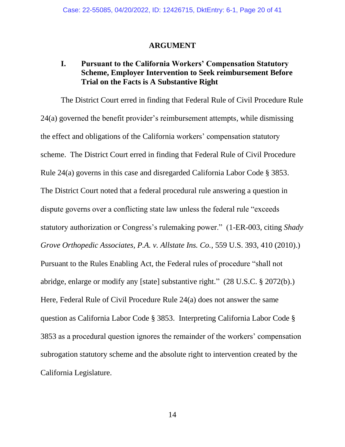#### **ARGUMENT**

### **I. Pursuant to the California Workers' Compensation Statutory Scheme, Employer Intervention to Seek reimbursement Before Trial on the Facts is A Substantive Right**

The District Court erred in finding that Federal Rule of Civil Procedure Rule 24(a) governed the benefit provider's reimbursement attempts, while dismissing the effect and obligations of the California workers' compensation statutory scheme. The District Court erred in finding that Federal Rule of Civil Procedure Rule 24(a) governs in this case and disregarded California Labor Code § 3853. The District Court noted that a federal procedural rule answering a question in dispute governs over a conflicting state law unless the federal rule "exceeds statutory authorization or Congress's rulemaking power." (1-ER-003, citing *Shady Grove Orthopedic Associates, P.A. v. Allstate Ins. Co.*, 559 U.S. 393, 410 (2010).) Pursuant to the Rules Enabling Act, the Federal rules of procedure "shall not abridge, enlarge or modify any [state] substantive right." (28 U.S.C. § 2072(b).) Here, Federal Rule of Civil Procedure Rule 24(a) does not answer the same question as California Labor Code § 3853. Interpreting California Labor Code § 3853 as a procedural question ignores the remainder of the workers' compensation subrogation statutory scheme and the absolute right to intervention created by the California Legislature.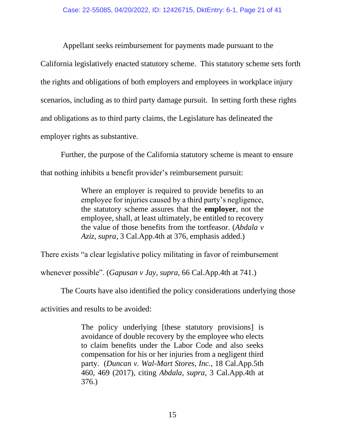Appellant seeks reimbursement for payments made pursuant to the

California legislatively enacted statutory scheme. This statutory scheme sets forth the rights and obligations of both employers and employees in workplace injury scenarios, including as to third party damage pursuit. In setting forth these rights and obligations as to third party claims, the Legislature has delineated the employer rights as substantive.

Further, the purpose of the California statutory scheme is meant to ensure that nothing inhibits a benefit provider's reimbursement pursuit:

> Where an employer is required to provide benefits to an employee for injuries caused by a third party's negligence, the statutory scheme assures that the **employer**, not the employee, shall, at least ultimately, be entitled to recovery the value of those benefits from the tortfeasor. (*Abdala v Aziz*, *supra*, 3 Cal.App.4th at 376, emphasis added.)

There exists "a clear legislative policy militating in favor of reimbursement

whenever possible". (*Gapusan v Jay, supra*, 66 Cal.App.4th at 741.)

The Courts have also identified the policy considerations underlying those

activities and results to be avoided:

The policy underlying [these statutory provisions] is avoidance of double recovery by the employee who elects to claim benefits under the Labor Code and also seeks compensation for his or her injuries from a negligent third party. (*Duncan v. Wal-Mart Stores, Inc.*, 18 Cal.App.5th 460, 469 (2017), citing *Abdala, supra*, 3 Cal.App.4th at 376.)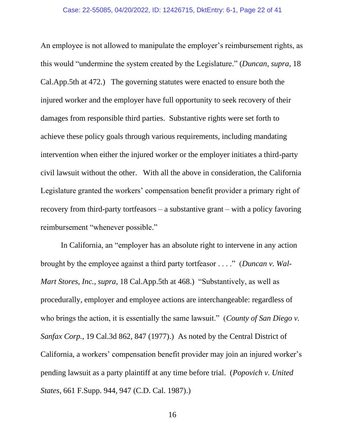An employee is not allowed to manipulate the employer's reimbursement rights, as this would "undermine the system created by the Legislature." (*Duncan, supra*, 18 Cal.App.5th at 472.) The governing statutes were enacted to ensure both the injured worker and the employer have full opportunity to seek recovery of their damages from responsible third parties. Substantive rights were set forth to achieve these policy goals through various requirements, including mandating intervention when either the injured worker or the employer initiates a third-party civil lawsuit without the other. With all the above in consideration, the California Legislature granted the workers' compensation benefit provider a primary right of recovery from third-party tortfeasors – a substantive grant – with a policy favoring reimbursement "whenever possible."

In California, an "employer has an absolute right to intervene in any action brought by the employee against a third party tortfeasor . . . ." (*Duncan v. Wal-Mart Stores, Inc.*, *supra*, 18 Cal.App.5th at 468.) "Substantively, as well as procedurally, employer and employee actions are interchangeable: regardless of who brings the action, it is essentially the same lawsuit." (*County of San Diego v. Sanfax Corp.*, 19 Cal.3d 862, 847 (1977).) As noted by the Central District of California, a workers' compensation benefit provider may join an injured worker's pending lawsuit as a party plaintiff at any time before trial. (*Popovich v. United States*, 661 F.Supp. 944, 947 (C.D. Cal. 1987).)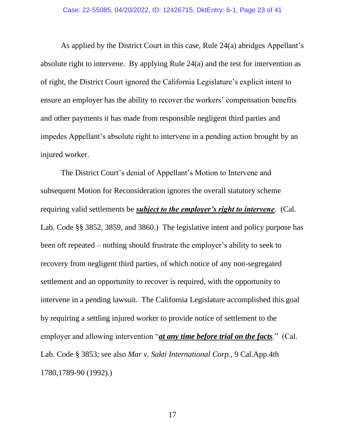As applied by the District Court in this case, Rule 24(a) abridges Appellant's absolute right to intervene. By applying Rule 24(a) and the test for intervention as of right, the District Court ignored the California Legislature's explicit intent to ensure an employer has the ability to recover the workers' compensation benefits and other payments it has made from responsible negligent third parties and impedes Appellant's absolute right to intervene in a pending action brought by an injured worker.

The District Court's denial of Appellant's Motion to Intervene and subsequent Motion for Reconsideration ignores the overall statutory scheme requiring valid settlements be *subject to the employer's right to intervene*. (Cal. Lab. Code §§ 3852, 3859, and 3860.) The legislative intent and policy purpose has been oft repeated – nothing should frustrate the employer's ability to seek to recovery from negligent third parties, of which notice of any non-segregated settlement and an opportunity to recover is required, with the opportunity to intervene in a pending lawsuit. The California Legislature accomplished this goal by requiring a settling injured worker to provide notice of settlement to the employer and allowing intervention "*at any time before trial on the facts*." (Cal. Lab. Code § 3853; see also *Mar v. Sakti International Corp.*, 9 Cal.App.4th 1780,1789-90 (1992).)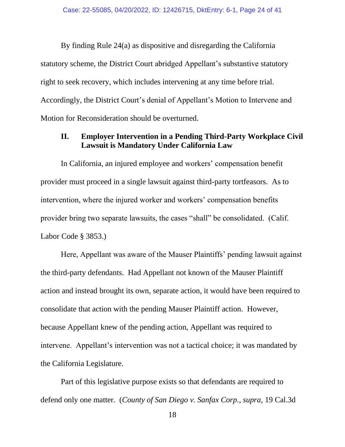By finding Rule 24(a) as dispositive and disregarding the California statutory scheme, the District Court abridged Appellant's substantive statutory right to seek recovery, which includes intervening at any time before trial. Accordingly, the District Court's denial of Appellant's Motion to Intervene and Motion for Reconsideration should be overturned.

### **II. Employer Intervention in a Pending Third-Party Workplace Civil Lawsuit is Mandatory Under California Law**

In California, an injured employee and workers' compensation benefit provider must proceed in a single lawsuit against third-party tortfeasors. As to intervention, where the injured worker and workers' compensation benefits provider bring two separate lawsuits, the cases "shall" be consolidated. (Calif. Labor Code § 3853.)

Here, Appellant was aware of the Mauser Plaintiffs' pending lawsuit against the third-party defendants. Had Appellant not known of the Mauser Plaintiff action and instead brought its own, separate action, it would have been required to consolidate that action with the pending Mauser Plaintiff action. However, because Appellant knew of the pending action, Appellant was required to intervene. Appellant's intervention was not a tactical choice; it was mandated by the California Legislature.

Part of this legislative purpose exists so that defendants are required to defend only one matter. (*County of San Diego v. Sanfax Corp., supra*, 19 Cal.3d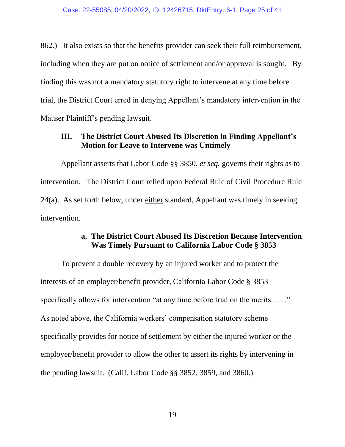862.) It also exists so that the benefits provider can seek their full reimbursement, including when they are put on notice of settlement and/or approval is sought. By finding this was not a mandatory statutory right to intervene at any time before trial, the District Court erred in denying Appellant's mandatory intervention in the Mauser Plaintiff's pending lawsuit.

### **III. The District Court Abused Its Discretion in Finding Appellant's Motion for Leave to Intervene was Untimely**

Appellant asserts that Labor Code §§ 3850, *et seq.* governs their rights as to intervention. The District Court relied upon Federal Rule of Civil Procedure Rule 24(a). As set forth below, under either standard, Appellant was timely in seeking intervention.

### **a. The District Court Abused Its Discretion Because Intervention Was Timely Pursuant to California Labor Code § 3853**

To prevent a double recovery by an injured worker and to protect the interests of an employer/benefit provider, California Labor Code § 3853 specifically allows for intervention "at any time before trial on the merits . . . ." As noted above, the California workers' compensation statutory scheme specifically provides for notice of settlement by either the injured worker or the employer/benefit provider to allow the other to assert its rights by intervening in the pending lawsuit. (Calif. Labor Code §§ 3852, 3859, and 3860.)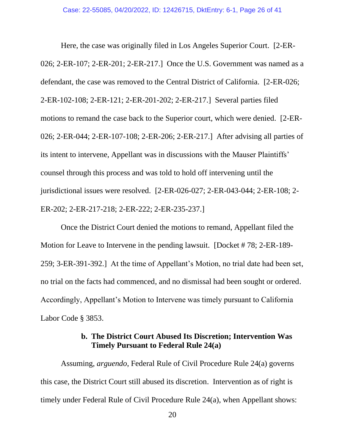Here, the case was originally filed in Los Angeles Superior Court. [2-ER-026; 2-ER-107; 2-ER-201; 2-ER-217.] Once the U.S. Government was named as a defendant, the case was removed to the Central District of California. [2-ER-026; 2-ER-102-108; 2-ER-121; 2-ER-201-202; 2-ER-217.] Several parties filed motions to remand the case back to the Superior court, which were denied. [2-ER-026; 2-ER-044; 2-ER-107-108; 2-ER-206; 2-ER-217.] After advising all parties of its intent to intervene, Appellant was in discussions with the Mauser Plaintiffs' counsel through this process and was told to hold off intervening until the jurisdictional issues were resolved. [2-ER-026-027; 2-ER-043-044; 2-ER-108; 2- ER-202; 2-ER-217-218; 2-ER-222; 2-ER-235-237.]

Once the District Court denied the motions to remand, Appellant filed the Motion for Leave to Intervene in the pending lawsuit. [Docket # 78; 2-ER-189- 259; 3-ER-391-392.] At the time of Appellant's Motion, no trial date had been set, no trial on the facts had commenced, and no dismissal had been sought or ordered. Accordingly, Appellant's Motion to Intervene was timely pursuant to California Labor Code § 3853.

### **b. The District Court Abused Its Discretion; Intervention Was Timely Pursuant to Federal Rule 24(a)**

Assuming, *arguendo*, Federal Rule of Civil Procedure Rule 24(a) governs this case, the District Court still abused its discretion. Intervention as of right is timely under Federal Rule of Civil Procedure Rule 24(a), when Appellant shows: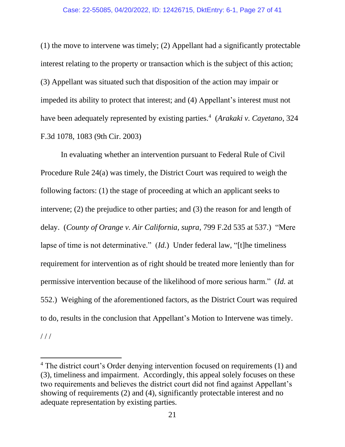(1) the move to intervene was timely; (2) Appellant had a significantly protectable interest relating to the property or transaction which is the subject of this action; (3) Appellant was situated such that disposition of the action may impair or impeded its ability to protect that interest; and (4) Appellant's interest must not have been adequately represented by existing parties.<sup>4</sup> (*Arakaki v. Cayetano*, 324 F.3d 1078, 1083 (9th Cir. 2003)

In evaluating whether an intervention pursuant to Federal Rule of Civil Procedure Rule 24(a) was timely, the District Court was required to weigh the following factors: (1) the stage of proceeding at which an applicant seeks to intervene; (2) the prejudice to other parties; and (3) the reason for and length of delay. (*County of Orange v. Air California, supra,* 799 F.2d 535 at 537.) "Mere lapse of time is not determinative." (*Id.*) Under federal law, "[t]he timeliness requirement for intervention as of right should be treated more leniently than for permissive intervention because of the likelihood of more serious harm." (*Id.* at 552.) Weighing of the aforementioned factors, as the District Court was required to do, results in the conclusion that Appellant's Motion to Intervene was timely.  $///$ 

<sup>&</sup>lt;sup>4</sup> The district court's Order denying intervention focused on requirements (1) and (3), timeliness and impairment. Accordingly, this appeal solely focuses on these two requirements and believes the district court did not find against Appellant's showing of requirements (2) and (4), significantly protectable interest and no adequate representation by existing parties.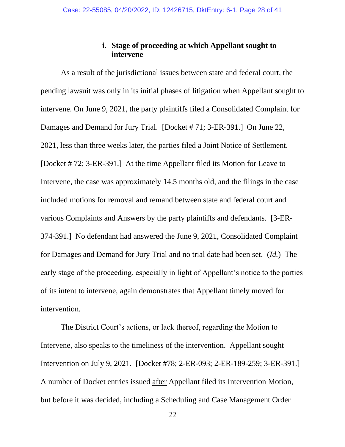### **i. Stage of proceeding at which Appellant sought to intervene**

As a result of the jurisdictional issues between state and federal court, the pending lawsuit was only in its initial phases of litigation when Appellant sought to intervene. On June 9, 2021, the party plaintiffs filed a Consolidated Complaint for Damages and Demand for Jury Trial. [Docket # 71; 3-ER-391.] On June 22, 2021, less than three weeks later, the parties filed a Joint Notice of Settlement. [Docket # 72; 3-ER-391.] At the time Appellant filed its Motion for Leave to Intervene, the case was approximately 14.5 months old, and the filings in the case included motions for removal and remand between state and federal court and various Complaints and Answers by the party plaintiffs and defendants. [3-ER-374-391.] No defendant had answered the June 9, 2021, Consolidated Complaint for Damages and Demand for Jury Trial and no trial date had been set. (*Id.*) The early stage of the proceeding, especially in light of Appellant's notice to the parties of its intent to intervene, again demonstrates that Appellant timely moved for intervention.

The District Court's actions, or lack thereof, regarding the Motion to Intervene, also speaks to the timeliness of the intervention. Appellant sought Intervention on July 9, 2021. [Docket #78; 2-ER-093; 2-ER-189-259; 3-ER-391.] A number of Docket entries issued after Appellant filed its Intervention Motion, but before it was decided, including a Scheduling and Case Management Order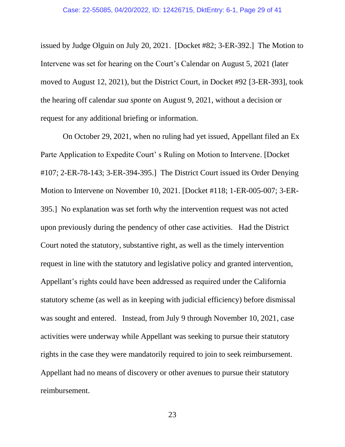issued by Judge Olguin on July 20, 2021. [Docket #82; 3-ER-392.] The Motion to Intervene was set for hearing on the Court's Calendar on August 5, 2021 (later moved to August 12, 2021), but the District Court, in Docket #92 [3-ER-393], took the hearing off calendar *sua sponte* on August 9, 2021, without a decision or request for any additional briefing or information.

On October 29, 2021, when no ruling had yet issued, Appellant filed an Ex Parte Application to Expedite Court' s Ruling on Motion to Intervene. [Docket #107; 2-ER-78-143; 3-ER-394-395.] The District Court issued its Order Denying Motion to Intervene on November 10, 2021. [Docket #118; 1-ER-005-007; 3-ER-395.] No explanation was set forth why the intervention request was not acted upon previously during the pendency of other case activities. Had the District Court noted the statutory, substantive right, as well as the timely intervention request in line with the statutory and legislative policy and granted intervention, Appellant's rights could have been addressed as required under the California statutory scheme (as well as in keeping with judicial efficiency) before dismissal was sought and entered. Instead, from July 9 through November 10, 2021, case activities were underway while Appellant was seeking to pursue their statutory rights in the case they were mandatorily required to join to seek reimbursement. Appellant had no means of discovery or other avenues to pursue their statutory reimbursement.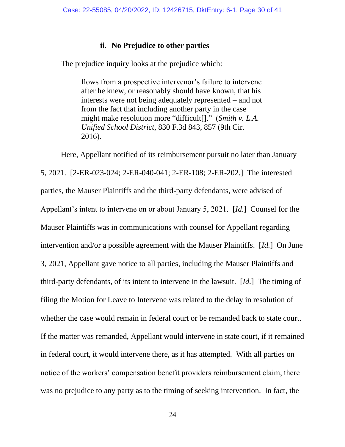### **ii. No Prejudice to other parties**

The prejudice inquiry looks at the prejudice which:

flows from a prospective intervenor's failure to intervene after he knew, or reasonably should have known, that his interests were not being adequately represented – and not from the fact that including another party in the case might make resolution more "difficult[]." (*Smith v. L.A. Unified School District*, 830 F.3d 843, 857 (9th Cir. 2016).

Here, Appellant notified of its reimbursement pursuit no later than January 5, 2021. [2-ER-023-024; 2-ER-040-041; 2-ER-108; 2-ER-202.] The interested parties, the Mauser Plaintiffs and the third-party defendants, were advised of Appellant's intent to intervene on or about January 5, 2021. [*Id.*] Counsel for the Mauser Plaintiffs was in communications with counsel for Appellant regarding intervention and/or a possible agreement with the Mauser Plaintiffs. [*Id.*] On June 3, 2021, Appellant gave notice to all parties, including the Mauser Plaintiffs and third-party defendants, of its intent to intervene in the lawsuit. [*Id.*] The timing of filing the Motion for Leave to Intervene was related to the delay in resolution of whether the case would remain in federal court or be remanded back to state court. If the matter was remanded, Appellant would intervene in state court, if it remained in federal court, it would intervene there, as it has attempted. With all parties on notice of the workers' compensation benefit providers reimbursement claim, there was no prejudice to any party as to the timing of seeking intervention. In fact, the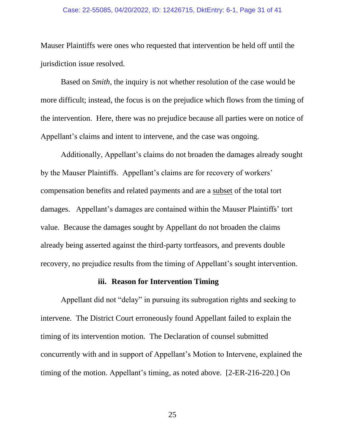#### Case: 22-55085, 04/20/2022, ID: 12426715, DktEntry: 6-1, Page 31 of 41

Mauser Plaintiffs were ones who requested that intervention be held off until the jurisdiction issue resolved.

Based on *Smith*, the inquiry is not whether resolution of the case would be more difficult; instead, the focus is on the prejudice which flows from the timing of the intervention. Here, there was no prejudice because all parties were on notice of Appellant's claims and intent to intervene, and the case was ongoing.

Additionally, Appellant's claims do not broaden the damages already sought by the Mauser Plaintiffs. Appellant's claims are for recovery of workers' compensation benefits and related payments and are a subset of the total tort damages. Appellant's damages are contained within the Mauser Plaintiffs' tort value. Because the damages sought by Appellant do not broaden the claims already being asserted against the third-party tortfeasors, and prevents double recovery, no prejudice results from the timing of Appellant's sought intervention.

### **iii. Reason for Intervention Timing**

Appellant did not "delay" in pursuing its subrogation rights and seeking to intervene. The District Court erroneously found Appellant failed to explain the timing of its intervention motion. The Declaration of counsel submitted concurrently with and in support of Appellant's Motion to Intervene, explained the timing of the motion. Appellant's timing, as noted above. [2-ER-216-220.] On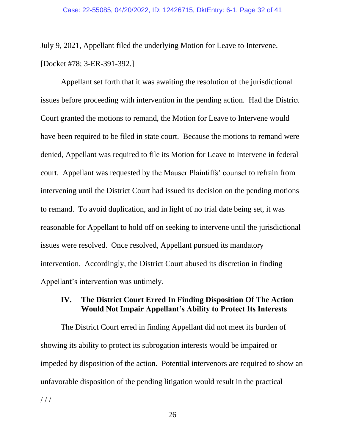July 9, 2021, Appellant filed the underlying Motion for Leave to Intervene. [Docket #78; 3-ER-391-392.]

Appellant set forth that it was awaiting the resolution of the jurisdictional issues before proceeding with intervention in the pending action. Had the District Court granted the motions to remand, the Motion for Leave to Intervene would have been required to be filed in state court. Because the motions to remand were denied, Appellant was required to file its Motion for Leave to Intervene in federal court. Appellant was requested by the Mauser Plaintiffs' counsel to refrain from intervening until the District Court had issued its decision on the pending motions to remand. To avoid duplication, and in light of no trial date being set, it was reasonable for Appellant to hold off on seeking to intervene until the jurisdictional issues were resolved. Once resolved, Appellant pursued its mandatory intervention. Accordingly, the District Court abused its discretion in finding Appellant's intervention was untimely.

### **IV. The District Court Erred In Finding Disposition Of The Action Would Not Impair Appellant's Ability to Protect Its Interests**

The District Court erred in finding Appellant did not meet its burden of showing its ability to protect its subrogation interests would be impaired or impeded by disposition of the action. Potential intervenors are required to show an unfavorable disposition of the pending litigation would result in the practical / / /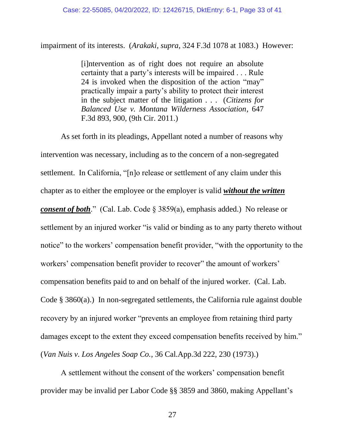impairment of its interests. (*Arakaki*, *supra*, 324 F.3d 1078 at 1083.) However:

[i]ntervention as of right does not require an absolute certainty that a party's interests will be impaired . . . Rule 24 is invoked when the disposition of the action "may" practically impair a party's ability to protect their interest in the subject matter of the litigation . . . (*Citizens for Balanced Use v. Montana Wilderness Association*, 647 F.3d 893, 900, (9th Cir. 2011.)

As set forth in its pleadings, Appellant noted a number of reasons why intervention was necessary, including as to the concern of a non-segregated settlement. In California, "[n]o release or settlement of any claim under this chapter as to either the employee or the employer is valid *without the written consent of both*." (Cal. Lab. Code § 3859(a), emphasis added.) No release or settlement by an injured worker "is valid or binding as to any party thereto without notice" to the workers' compensation benefit provider, "with the opportunity to the workers' compensation benefit provider to recover" the amount of workers' compensation benefits paid to and on behalf of the injured worker. (Cal. Lab. Code § 3860(a).) In non-segregated settlements, the California rule against double recovery by an injured worker "prevents an employee from retaining third party damages except to the extent they exceed compensation benefits received by him." (*Van Nuis v. Los Angeles Soap Co.*, 36 Cal.App.3d 222, 230 (1973).)

A settlement without the consent of the workers' compensation benefit provider may be invalid per Labor Code §§ 3859 and 3860, making Appellant's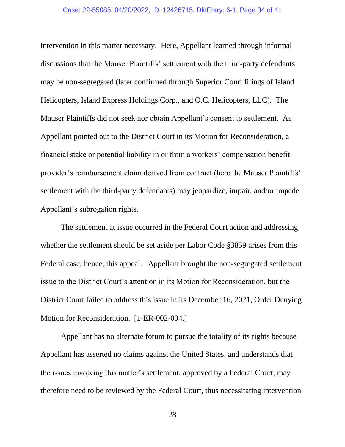#### Case: 22-55085, 04/20/2022, ID: 12426715, DktEntry: 6-1, Page 34 of 41

intervention in this matter necessary. Here, Appellant learned through informal discussions that the Mauser Plaintiffs' settlement with the third-party defendants may be non-segregated (later confirmed through Superior Court filings of Island Helicopters, Island Express Holdings Corp., and O.C. Helicopters, LLC). The Mauser Plaintiffs did not seek nor obtain Appellant's consent to settlement. As Appellant pointed out to the District Court in its Motion for Reconsideration, a financial stake or potential liability in or from a workers' compensation benefit provider's reimbursement claim derived from contract (here the Mauser Plaintiffs' settlement with the third-party defendants) may jeopardize, impair, and/or impede Appellant's subrogation rights.

The settlement at issue occurred in the Federal Court action and addressing whether the settlement should be set aside per Labor Code §3859 arises from this Federal case; hence, this appeal. Appellant brought the non-segregated settlement issue to the District Court's attention in its Motion for Reconsideration, but the District Court failed to address this issue in its December 16, 2021, Order Denying Motion for Reconsideration. [1-ER-002-004.]

Appellant has no alternate forum to pursue the totality of its rights because Appellant has asserted no claims against the United States, and understands that the issues involving this matter's settlement, approved by a Federal Court, may therefore need to be reviewed by the Federal Court, thus necessitating intervention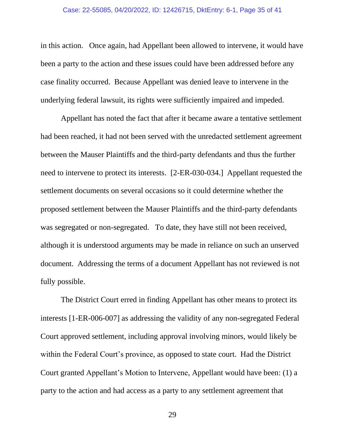#### Case: 22-55085, 04/20/2022, ID: 12426715, DktEntry: 6-1, Page 35 of 41

in this action. Once again, had Appellant been allowed to intervene, it would have been a party to the action and these issues could have been addressed before any case finality occurred. Because Appellant was denied leave to intervene in the underlying federal lawsuit, its rights were sufficiently impaired and impeded.

Appellant has noted the fact that after it became aware a tentative settlement had been reached, it had not been served with the unredacted settlement agreement between the Mauser Plaintiffs and the third-party defendants and thus the further need to intervene to protect its interests. [2-ER-030-034.] Appellant requested the settlement documents on several occasions so it could determine whether the proposed settlement between the Mauser Plaintiffs and the third-party defendants was segregated or non-segregated. To date, they have still not been received, although it is understood arguments may be made in reliance on such an unserved document. Addressing the terms of a document Appellant has not reviewed is not fully possible.

The District Court erred in finding Appellant has other means to protect its interests [1-ER-006-007] as addressing the validity of any non-segregated Federal Court approved settlement, including approval involving minors, would likely be within the Federal Court's province, as opposed to state court. Had the District Court granted Appellant's Motion to Intervene, Appellant would have been: (1) a party to the action and had access as a party to any settlement agreement that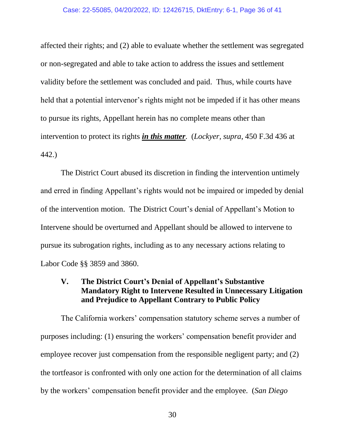affected their rights; and (2) able to evaluate whether the settlement was segregated or non-segregated and able to take action to address the issues and settlement validity before the settlement was concluded and paid. Thus, while courts have held that a potential intervenor's rights might not be impeded if it has other means to pursue its rights, Appellant herein has no complete means other than intervention to protect its rights *in this matter*. (*Lockyer, supra*, 450 F.3d 436 at 442.)

The District Court abused its discretion in finding the intervention untimely and erred in finding Appellant's rights would not be impaired or impeded by denial of the intervention motion. The District Court's denial of Appellant's Motion to Intervene should be overturned and Appellant should be allowed to intervene to pursue its subrogation rights, including as to any necessary actions relating to Labor Code §§ 3859 and 3860.

### **V. The District Court's Denial of Appellant's Substantive Mandatory Right to Intervene Resulted in Unnecessary Litigation and Prejudice to Appellant Contrary to Public Policy**

The California workers' compensation statutory scheme serves a number of purposes including: (1) ensuring the workers' compensation benefit provider and employee recover just compensation from the responsible negligent party; and (2) the tortfeasor is confronted with only one action for the determination of all claims by the workers' compensation benefit provider and the employee. (*San Diego*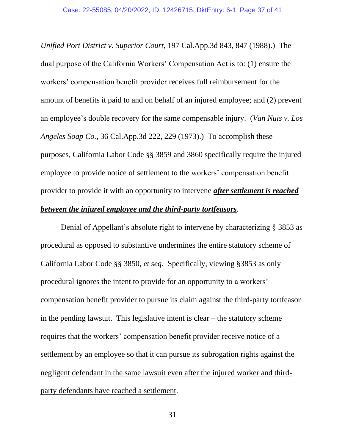*Unified Port District v. Superior Court*, 197 Cal.App.3d 843, 847 (1988).) The dual purpose of the California Workers' Compensation Act is to: (1) ensure the workers' compensation benefit provider receives full reimbursement for the amount of benefits it paid to and on behalf of an injured employee; and (2) prevent an employee's double recovery for the same compensable injury. (*Van Nuis v. Los Angeles Soap Co.*, 36 Cal.App.3d 222, 229 (1973).) To accomplish these purposes, California Labor Code §§ 3859 and 3860 specifically require the injured employee to provide notice of settlement to the workers' compensation benefit provider to provide it with an opportunity to intervene *after settlement is reached between the injured employee and the third-party tortfeasors*.

Denial of Appellant's absolute right to intervene by characterizing § 3853 as procedural as opposed to substantive undermines the entire statutory scheme of California Labor Code §§ 3850, *et seq.* Specifically, viewing §3853 as only procedural ignores the intent to provide for an opportunity to a workers' compensation benefit provider to pursue its claim against the third-party tortfeasor in the pending lawsuit. This legislative intent is clear – the statutory scheme requires that the workers' compensation benefit provider receive notice of a settlement by an employee so that it can pursue its subrogation rights against the negligent defendant in the same lawsuit even after the injured worker and thirdparty defendants have reached a settlement.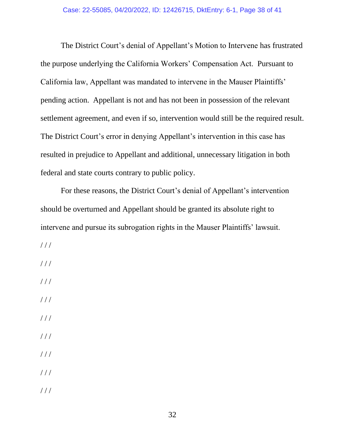The District Court's denial of Appellant's Motion to Intervene has frustrated the purpose underlying the California Workers' Compensation Act. Pursuant to California law, Appellant was mandated to intervene in the Mauser Plaintiffs' pending action. Appellant is not and has not been in possession of the relevant settlement agreement, and even if so, intervention would still be the required result. The District Court's error in denying Appellant's intervention in this case has resulted in prejudice to Appellant and additional, unnecessary litigation in both federal and state courts contrary to public policy.

For these reasons, the District Court's denial of Appellant's intervention should be overturned and Appellant should be granted its absolute right to intervene and pursue its subrogation rights in the Mauser Plaintiffs' lawsuit.

/ / /

/ / /

- / / /
- $///$
- $//$
- $1/1$
- $1/1$
- $///$
- / / /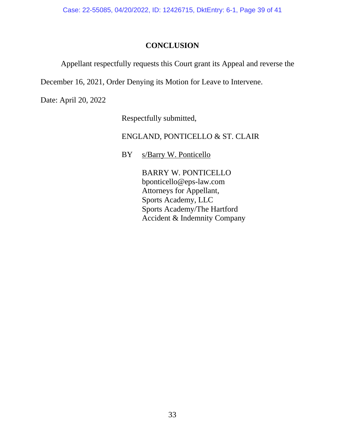Case: 22-55085, 04/20/2022, ID: 12426715, DktEntry: 6-1, Page 39 of 41

### **CONCLUSION**

Appellant respectfully requests this Court grant its Appeal and reverse the

December 16, 2021, Order Denying its Motion for Leave to Intervene.

Date: April 20, 2022

Respectfully submitted,

ENGLAND, PONTICELLO & ST. CLAIR

BY s/Barry W. Ponticello

BARRY W. PONTICELLO bponticello@eps-law.com Attorneys for Appellant, Sports Academy, LLC Sports Academy/The Hartford Accident & Indemnity Company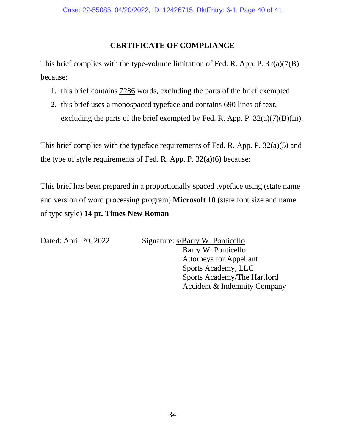### **CERTIFICATE OF COMPLIANCE**

This brief complies with the type-volume limitation of Fed. R. App. P. 32(a)(7(B) because:

- 1. this brief contains 7286 words, excluding the parts of the brief exempted
- 2. this brief uses a monospaced typeface and contains 690 lines of text, excluding the parts of the brief exempted by Fed. R. App. P.  $32(a)(7)(B)(iii)$ .

This brief complies with the typeface requirements of Fed. R. App. P. 32(a)(5) and the type of style requirements of Fed. R. App. P. 32(a)(6) because:

This brief has been prepared in a proportionally spaced typeface using (state name and version of word processing program) **Microsoft 10** (state font size and name of type style) **14 pt. Times New Roman**.

Dated: April 20, 2022 Signature: s/Barry W. Ponticello Barry W. Ponticello Attorneys for Appellant Sports Academy, LLC Sports Academy/The Hartford Accident & Indemnity Company